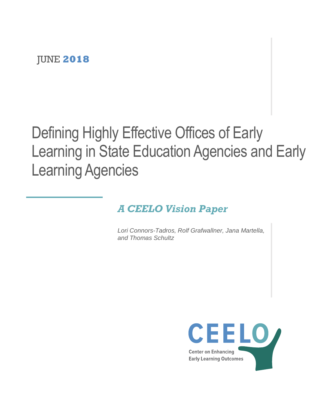# Defining Highly Effective Offices of Early Learning in State Education Agencies and Early Learning Agencies

# *A CEELO Vision Paper*

*Lori Connors-Tadros, Rolf Grafwallner, Jana Martella, and Thomas Schultz*

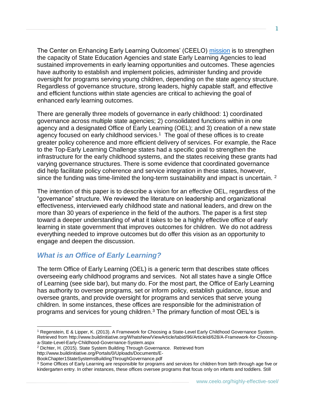The Center on Enhancing Early Learning Outcomes' (CEELO) [mission](http://ceelo.org/) is to strengthen the capacity of State Education Agencies and state Early Learning Agencies to lead sustained improvements in early learning opportunities and outcomes. These agencies have authority to establish and implement policies, administer funding and provide oversight for programs serving young children, depending on the state agency structure. Regardless of governance structure, strong leaders, highly capable staff, and effective and efficient functions within state agencies are critical to achieving the goal of enhanced early learning outcomes.

There are generally three models of governance in early childhood: 1) coordinated governance across multiple state agencies; 2) consolidated functions within in one agency and a designated Office of Early Learning (OEL); and 3) creation of a new state agency focused on early childhood services. $1$  The goal of these offices is to create greater policy coherence and more efficient delivery of services. For example, the Race to the Top-Early Learning Challenge states had a specific goal to strengthen the infrastructure for the early childhood systems, and the states receiving these grants had varying governance structures. There is some evidence that coordinated governance did help facilitate policy coherence and service integration in these states, however, since the funding was time-limited the long-term sustainability and impact is uncertain.  $2$ 

The intention of this paper is to describe a vision for an effective OEL, regardless of the "governance" structure. We reviewed the literature on leadership and organizational effectiveness, interviewed early childhood state and national leaders, and drew on the more than 30 years of experience in the field of the authors. The paper is a first step toward a deeper understanding of what it takes to be a highly effective office of early learning in state government that improves outcomes for children. We do not address everything needed to improve outcomes but do offer this vision as an opportunity to engage and deepen the discussion.

### *What is an Office of Early Learning?*

The term Office of Early Learning (OEL) is a generic term that describes state offices overseeing early childhood programs and services. Not all states have a single Office of Learning (see side bar), but many do. For the most part, the Office of Early Learning has authority to oversee programs, set or inform policy, establish guidance, issue and oversee grants, and provide oversight for programs and services that serve young children. In some instances, these offices are responsible for the administration of programs and services for young children.<sup>3</sup> The primary function of most OEL's is

 $\overline{a}$ 

<sup>1</sup> Regenstein, E & Lipper, K. (2013). A Framework for Choosing a State-Level Early Childhood Governance System. Retrieved from http://www.buildinitiative.org/WhatsNew/ViewArticle/tabid/96/ArticleId/628/A-Framework-for-Choosinga-State-Level-Early-Childhood-Governance-System.aspx

<sup>2</sup> Dichter, H. (2015). State System Building Through Governance. Retrieved from

http://www.buildinitiative.org/Portals/0/Uploads/Documents/E-

BookChapter1StateSystemsBuildingThroughGovernance.pdf

<sup>&</sup>lt;sup>3</sup> Some Offices of Early Learning are responsible for programs and services for children from birth through age five or kindergarten entry. In other instances, these offices oversee programs that focus only on infants and toddlers. Still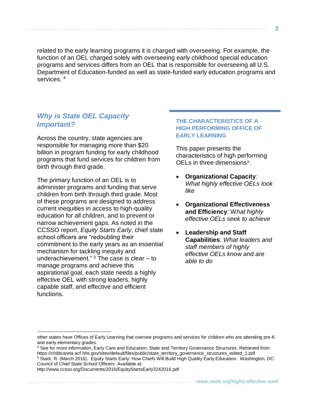related to the early learning programs it is charged with overseeing. For example, the function of an OEL charged solely with overseeing early childhood special education programs and services differs from an OEL that is responsible for overseeing all U.S. Department of Education-funded as well as state-funded early education programs and services.<sup>4</sup>

### *Why is State OEL Capacity Important?*

Across the country, state agencies are responsible for managing more than \$20 billion in program funding for early childhood programs that fund services for children from birth through third grade.

The primary function of an OEL is to administer programs and funding that serve children from birth through third grade. Most of these programs are designed to address current inequities in access to high-quality education for all children, and to prevent or narrow achievement gaps. As noted in the CCSSO report, *Equity Starts Early*, chief state school officers are "redoubling their commitment to the early years as an essential mechanism for tackling inequity and underachievement."  $5$  The case is clear  $-$  to manage programs and achieve this aspirational goal, each state needs a highly effective OEL with strong leaders, highly capable staff, and effective and efficient functions.

#### **THE CHARACTERISTICS OF A HIGH PERFORMING OFFICE OF EARLY LEARNING**

This paper presents the characteristics of high performing OELs in three dimensions $1$ :

- **Organizational Capacity**: *What highly effective OELs look like*
- **Organizational Effectiveness and Efficiency**: W*hat highly effective OELs seek to achieve*
- **Leadership and Staff Capabilities**: *What leaders and staff members of highly effective OELs know and are able to do*

<sup>4</sup> See for more information, Early Care and Education: State and Territory Governance Structures. Retrieved from https://childcareta.acf.hhs.gov/sites/default/files/public/state\_territory\_governance\_structures\_edited\_1.pdf

http://www.ccsso.org/Documents/2016/EquityStartsEarly3242016.pdf

 $\overline{a}$ 

other states have Offices of Early Learning that oversee programs and services for children who are attending pre-K and early elementary grades.

<sup>5</sup> Stark, R. (March 2016). Equity Starts Early: How Chiefs Will Build High Quality Early Education. Washington, DC: Council of Chief State School Officers. Available at: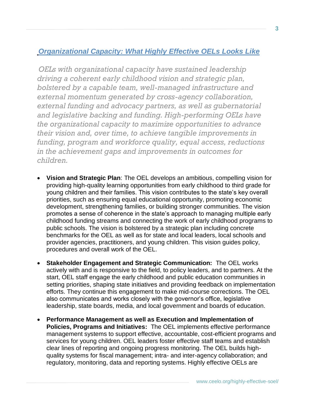# *Organizational Capacity: What Highly Effective OELs Looks Like*

*OELs with organizational capacity have sustained leadership driving a coherent early childhood vision and strategic plan, bolstered by a capable team, well-managed infrastructure and external momentum generated by cross-agency collaboration, external funding and advocacy partners, as well as gubernatorial and legislative backing and funding. High-performing OELs have the organizational capacity to maximize opportunities to advance their vision and, over time, to achieve tangible improvements in funding, program and workforce quality, equal access, reductions in the achievement gaps and improvements in outcomes for children.* 

- **Vision and Strategic Plan**: The OEL develops an ambitious, compelling vision for providing high-quality learning opportunities from early childhood to third grade for young children and their families. This vision contributes to the state's key overall priorities, such as ensuring equal educational opportunity, promoting economic development, strengthening families, or building stronger communities. The vision promotes a sense of coherence in the state's approach to managing multiple early childhood funding streams and connecting the work of early childhood programs to public schools. The vision is bolstered by a strategic plan including concrete benchmarks for the OEL as well as for state and local leaders, local schools and provider agencies, practitioners, and young children. This vision guides policy, procedures and overall work of the OEL.
- **Stakeholder Engagement and Strategic Communication:** The OEL works actively with and is responsive to the field, to policy leaders, and to partners. At the start, OEL staff engage the early childhood and public education communities in setting priorities, shaping state initiatives and providing feedback on implementation efforts. They continue this engagement to make mid-course corrections. The OEL also communicates and works closely with the governor's office, legislative leadership, state boards, media, and local government and boards of education.
- **Performance Management as well as Execution and Implementation of Policies, Programs and Initiatives:** The OEL implements effective performance management systems to support effective, accountable, cost-efficient programs and services for young children. OEL leaders foster effective staff teams and establish clear lines of reporting and ongoing progress monitoring. The OEL builds highquality systems for fiscal management; intra- and inter-agency collaboration; and regulatory, monitoring, data and reporting systems. Highly effective OELs are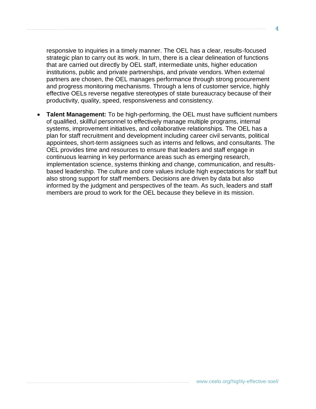responsive to inquiries in a timely manner. The OEL has a clear, results-focused strategic plan to carry out its work. In turn, there is a clear delineation of functions that are carried out directly by OEL staff, intermediate units, higher education institutions, public and private partnerships, and private vendors. When external partners are chosen, the OEL manages performance through strong procurement and progress monitoring mechanisms. Through a lens of customer service, highly effective OELs reverse negative stereotypes of state bureaucracy because of their productivity, quality, speed, responsiveness and consistency.

• **Talent Management:** To be high-performing, the OEL must have sufficient numbers of qualified, skillful personnel to effectively manage multiple programs, internal systems, improvement initiatives, and collaborative relationships. The OEL has a plan for staff recruitment and development including career civil servants, political appointees, short-term assignees such as interns and fellows, and consultants. The OEL provides time and resources to ensure that leaders and staff engage in continuous learning in key performance areas such as emerging research, implementation science, systems thinking and change, communication, and resultsbased leadership. The culture and core values include high expectations for staff but also strong support for staff members. Decisions are driven by data but also informed by the judgment and perspectives of the team. As such, leaders and staff members are proud to work for the OEL because they believe in its mission.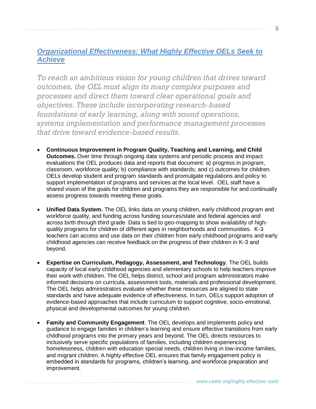## *Organizational Effectiveness: What Highly Effective OELs Seek to Achieve*

*To reach an ambitious vision for young children that drives toward outcomes, the OEL must align its many complex purposes and processes and direct them toward clear operational goals and objectives. These include incorporating research-based foundations of early learning, along with sound operations, systems implementation and performance management processes that drive toward evidence-based results.*

- **Continuous Improvement in Program Quality, Teaching and Learning, and Child Outcomes.** Over time through ongoing data systems and periodic process and impact evaluations the OEL produces data and reports that document: a) progress in program, classroom, workforce quality; b) compliance with standards; and c) outcomes for children. OELs develop student and program standards and promulgate regulations and policy to support implementation of programs and services at the local level. OEL staff have a shared vision of the goals for children and programs they are responsible for and continually assess progress towards meeting these goals.
- **Unified Data System.** The OEL links data on young children, early childhood program and workforce quality, and funding across funding sources/state and federal agencies and across birth through third grade. Data is tied to geo-mapping to show availability of highquality programs for children of different ages in neighborhoods and communities. K-3 teachers can access and use data on their children from early childhood programs and early childhood agencies can receive feedback on the progress of their children in K-3 and beyond.
- **Expertise on Curriculum, Pedagogy, Assessment, and Technology**. The OEL builds capacity of local early childhood agencies and elementary schools to help teachers improve their work with children. The OEL helps district, school and program administrators make informed decisions on curricula, assessment tools, materials and professional development. The OEL helps administrators evaluate whether these resources are aligned to state standards and have adequate evidence of effectiveness. In turn, OELs support adoption of evidence-based approaches that include curriculum to support cognitive, socio-emotional, physical and developmental outcomes for young children.
- **Family and Community Engagement**. The OEL develops and implements policy and guidance to engage families in children's learning and ensure effective transitions from early childhood programs into the primary years and beyond. The OEL directs resources to inclusively serve specific populations of families, including children experiencing homelessness, children with education special needs, children living in low-income families, and migrant children. A highly effective OEL ensures that family engagement policy is embedded in standards for programs, children's learning, and workforce preparation and improvement.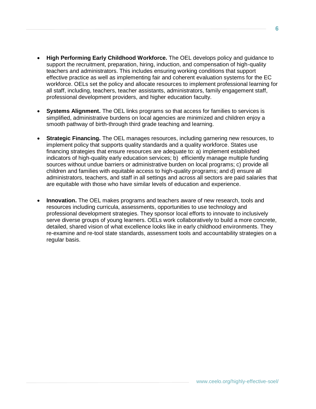- **High Performing Early Childhood Workforce.** The OEL develops policy and guidance to support the recruitment, preparation, hiring, induction, and compensation of high-quality teachers and administrators. This includes ensuring working conditions that support effective practice as well as implementing fair and coherent evaluation systems for the EC workforce. OELs set the policy and allocate resources to implement professional learning for all staff, including, teachers, teacher assistants, administrators, family engagement staff, professional development providers, and higher education faculty.
- **Systems Alignment.** The OEL links programs so that access for families to services is simplified, administrative burdens on local agencies are minimized and children enjoy a smooth pathway of birth-through third grade teaching and learning.
- **Strategic Financing.** The OEL manages resources, including garnering new resources, to implement policy that supports quality standards and a quality workforce. States use financing strategies that ensure resources are adequate to: a) implement established indicators of high-quality early education services; b) efficiently manage multiple funding sources without undue barriers or administrative burden on local programs; c) provide all children and families with equitable access to high-quality programs; and d) ensure all administrators, teachers, and staff in all settings and across all sectors are paid salaries that are equitable with those who have similar levels of education and experience.
- **Innovation.** The OEL makes programs and teachers aware of new research, tools and resources including curricula, assessments, opportunities to use technology and professional development strategies. They sponsor local efforts to innovate to inclusively serve diverse groups of young learners. OELs work collaboratively to build a more concrete, detailed, shared vision of what excellence looks like in early childhood environments. They re-examine and re-tool state standards, assessment tools and accountability strategies on a regular basis.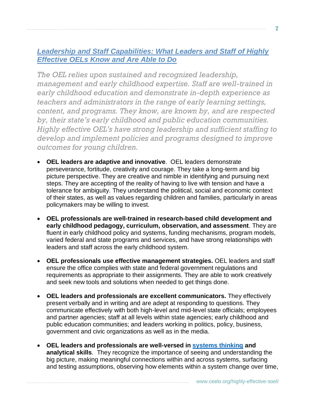# *Leadership and Staff Capabilities: What Leaders and Staff of Highly Effective OELs Know and Are Able to Do*

*The OEL relies upon sustained and recognized leadership, management and early childhood expertise. Staff are well-trained in early childhood education and demonstrate in-depth experience as teachers and administrators in the range of early learning settings, content, and programs. They know, are known by, and are respected by, their state's early childhood and public education communities. Highly effective OEL's have strong leadership and sufficient staffing to develop and implement policies and programs designed to improve outcomes for young children.* 

- **OEL leaders are adaptive and innovative**. OEL leaders demonstrate perseverance, fortitude, creativity and courage. They take a long-term and big picture perspective. They are creative and nimble in identifying and pursuing next steps. They are accepting of the reality of having to live with tension and have a tolerance for ambiguity. They understand the political, social and economic context of their states, as well as values regarding children and families, particularly in areas policymakers may be willing to invest.
- **OEL professionals are well-trained in research-based child development and early childhood pedagogy, curriculum, observation, and assessment**. They are fluent in early childhood policy and systems, funding mechanisms, program models, varied federal and state programs and services, and have strong relationships with leaders and staff across the early childhood system.
- **OEL professionals use effective management strategies.** OEL leaders and staff ensure the office complies with state and federal government regulations and requirements as appropriate to their assignments. They are able to work creatively and seek new tools and solutions when needed to get things done.
- **OEL leaders and professionals are excellent communicators.** They effectively present verbally and in writing and are adept at responding to questions. They communicate effectively with both high-level and mid-level state officials; employees and partner agencies; staff at all levels within state agencies; early childhood and public education communities; and leaders working in politics, policy, business, government and civic organizations as well as in the media.
- **OEL leaders and professionals are well-versed in [systems thinking](http://ceelo.org/wp-content/uploads/2018/05/Ceelo_2018_Booklet.pdf) and analytical skills***.* They recognize the importance of seeing and understanding the big picture, making meaningful connections within and across systems, surfacing and testing assumptions, observing how elements within a system change over time,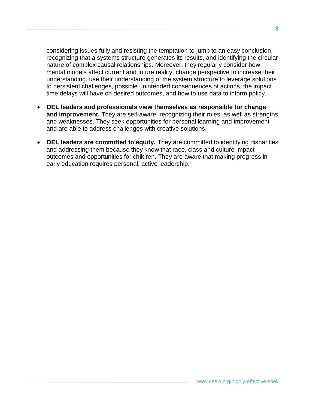considering issues fully and resisting the temptation to jump to an easy conclusion, recognizing that a systems structure generates its results, and identifying the circular nature of complex causal relationships. Moreover, they regularly consider how mental models affect current and future reality, change perspective to increase their understanding, use their understanding of the system structure to leverage solutions to persistent challenges, possible unintended consequences of actions, the impact time delays will have on desired outcomes, and how to use data to inform policy.

- **OEL leaders and professionals view themselves as responsible for change and improvement.** They are self-aware, recognizing their roles, as well as strengths and weaknesses. They seek opportunities for personal learning and improvement and are able to address challenges with creative solutions.
- **OEL leaders are committed to equity.** They are committed to identifying disparities and addressing them because they know that race, class and culture impact outcomes and opportunities for children. They are aware that making progress in early education requires personal, active leadership.